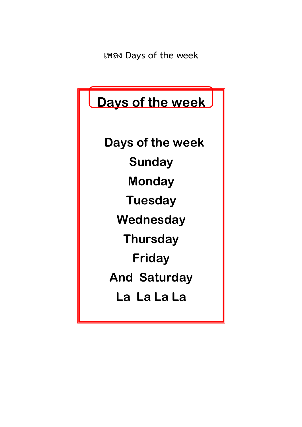**เพลง Days of the week**

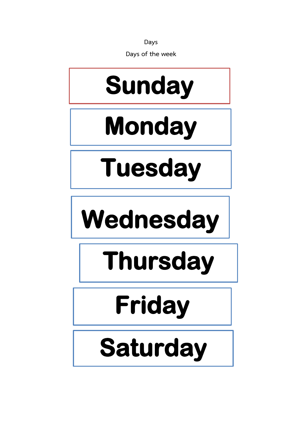**Days**

**Days of the week**



### **Saturday**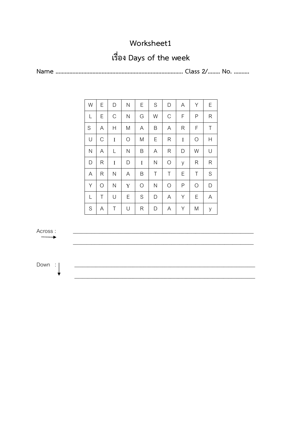#### **เรื่อง Days of the week**

**Name ……………………………………………………………………….. Class 2/…….. No. ……….**

| W             | Е          | D            | $\mathsf{N}$                           | E          | S            | D           | A       | Υ          | Ε            |
|---------------|------------|--------------|----------------------------------------|------------|--------------|-------------|---------|------------|--------------|
| L             | Е          | $\mathsf C$  | N                                      | G          | W            | $\mathbf C$ | F       | Ρ          | R            |
| S             | A          | Н            | M                                      | A          | Β            | A           | R       | F          | Τ            |
| U             | C          | I            | $\bigcirc$                             | M          | Ε            | R           | $\bf I$ | $\bigcirc$ | Н            |
| $\mathsf{N}$  | A          | L            | $\mathsf{N}$                           | B          | A            | R           | D       | W          | U            |
| D             | R          | I            | $\begin{array}{c} \square \end{array}$ | $\bf I$    | $\mathsf{N}$ | $\bigcirc$  | У       | R          | $\mathsf{R}$ |
| A             | R          | $\mathsf{N}$ | A                                      | B          | Τ            | Τ           | Е       | Τ          | S            |
| Υ             | $\bigcirc$ | $\mathsf{N}$ | Y                                      | $\bigcirc$ | $\mathsf{N}$ | $\bigcirc$  | Ρ       | $\bigcirc$ | D            |
| L             | Τ          | U            | E                                      | S          | D            | A           | Υ       | Е          | A            |
| ${\mathsf S}$ | A          | Τ            | U                                      | R          | D            | A           | Υ       | M          | У            |



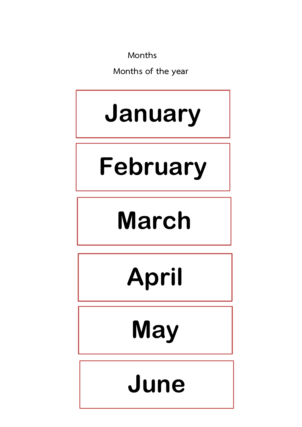**Months**

**Months of the year**

### **January**

### **February**

### **March**

## **April**

**May**

### **June**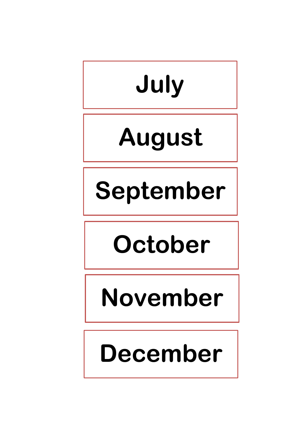# **July**

### **August**

### **September**

### **October**

### **November**

### **December**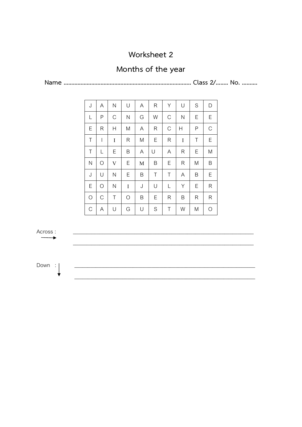#### **Months of the year**

**Name ……………………………………………………………………….. Class 2/…….. No. ……….**

| J            | A          | N             | U          | A | R | Υ             | U       | S            | D           |
|--------------|------------|---------------|------------|---|---|---------------|---------|--------------|-------------|
| L            | Ρ          | $\mathcal{C}$ | N          | G | W | $\mathcal{C}$ | N       | Ε            | Ε           |
| Ε            | R          | Н             | M          | A | R | $\mathcal{C}$ | Н       | $\mathsf{P}$ | $\mathsf C$ |
| $\top$       | I          | $\bf I$       | R          | M | Ε | R             | $\bf I$ | Τ            | Ε           |
| $\top$       | L          | Ε             | B          | A | U | A             | R       | Ε            | M           |
| $\mathsf{N}$ | $\bigcirc$ | $\mathbf V$   | Ε          | M | B | Ε             | R       | M            | B           |
| J            | U          | N             | Ε          | Β | Τ | Τ             | A       | Β            | Ε           |
| Ε            | $\bigcirc$ | $\mathsf{N}$  | I          | J | U | L             | Υ       | Ε            | R           |
| $\bigcirc$   | C          | Τ             | $\bigcirc$ | Β | Ε | R             | Β       | R            | R           |
| $\mathcal C$ | Α          | U             | G          | U | S | Τ             | W       | M            | $\bigcirc$  |

Across : \_\_\_\_\_\_\_\_\_\_\_\_\_\_\_\_\_\_\_\_\_\_\_\_\_\_\_\_\_\_\_\_\_\_\_\_\_\_\_\_\_\_\_\_\_\_\_\_\_\_\_\_\_\_\_\_\_\_\_\_\_\_\_\_\_\_\_\_ \_\_\_\_\_\_\_\_\_\_\_\_\_\_\_\_\_\_\_\_\_\_\_\_\_\_\_\_\_\_\_\_\_\_\_\_\_\_\_\_\_\_\_\_\_\_\_\_\_\_\_\_\_\_\_\_\_\_\_\_\_\_\_\_\_\_\_\_ Down : \_\_\_\_\_\_\_\_\_\_\_\_\_\_\_\_\_\_\_\_\_\_\_\_\_\_\_\_\_\_\_\_\_\_\_\_\_\_\_\_\_\_\_\_\_\_\_\_\_\_\_\_\_\_\_\_\_\_\_\_\_\_\_\_\_\_\_\_ \_\_\_\_\_\_\_\_\_\_\_\_\_\_\_\_\_\_\_\_\_\_\_\_\_\_\_\_\_\_\_\_\_\_\_\_\_\_\_\_\_\_\_\_\_\_\_\_\_\_\_\_\_\_\_\_\_\_\_\_\_\_\_\_\_\_\_\_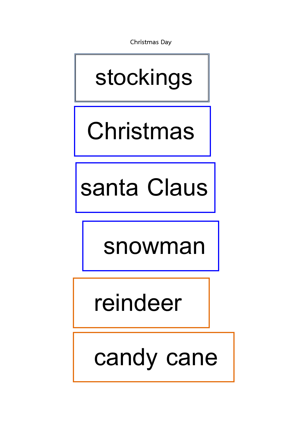**Christmas Day**

### **stockings**

### **Christmas**

santa Claus

 **snowman**

 **reindeer**

 **candy cane**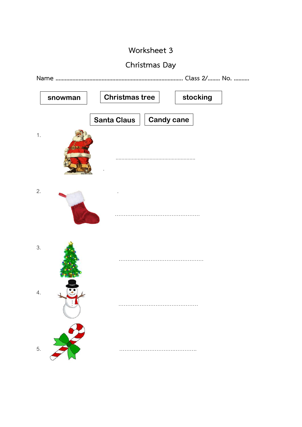#### **Christmas Day**

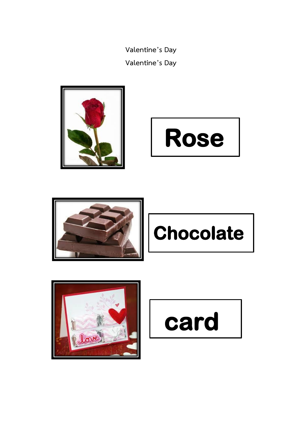**Valentine's Day Valentine's Day**











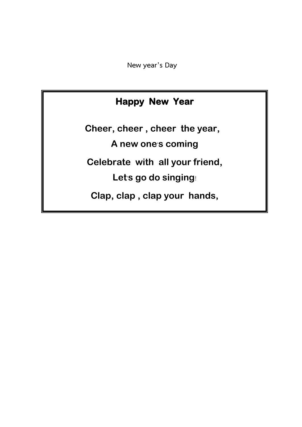**New year's Day**

#### **Happy New Year**

**Cheer, cheer , cheer the year, A new one**'**s coming Celebrate with all your friend, Let**'**s go do singing**! **Clap, clap , clap your hands,**

**A brand new year is here**.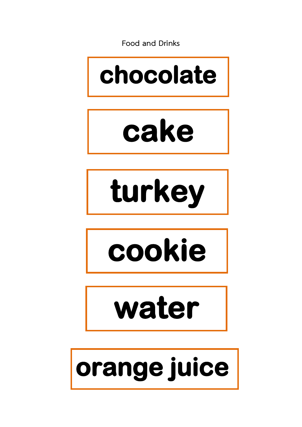**Food and Drinks**









**water** 

# **orange juice**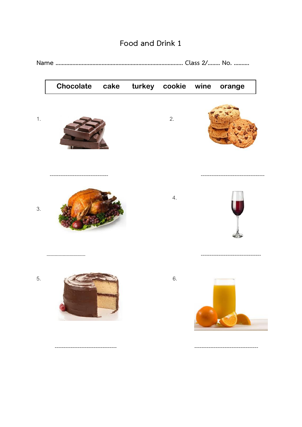

#### Food and Drink 1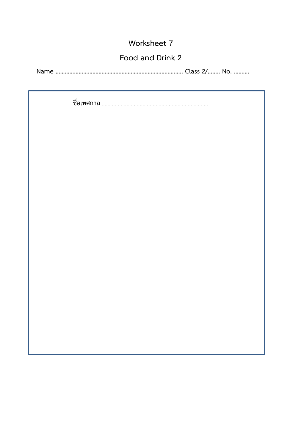#### **Food and Drink 2**

**Name ……………………………………………………………………….. Class 2/…….. No. ……….**

**ชื่อเทศกาล**………………………………………………………………..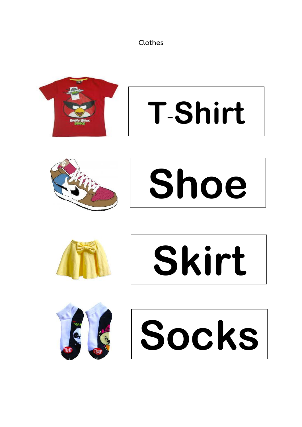**Clothes**















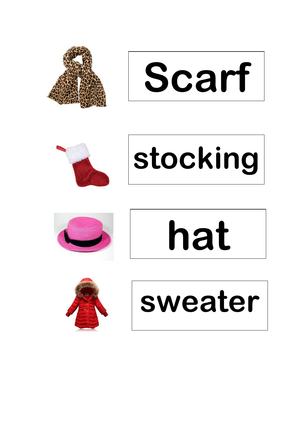

**Scarf**